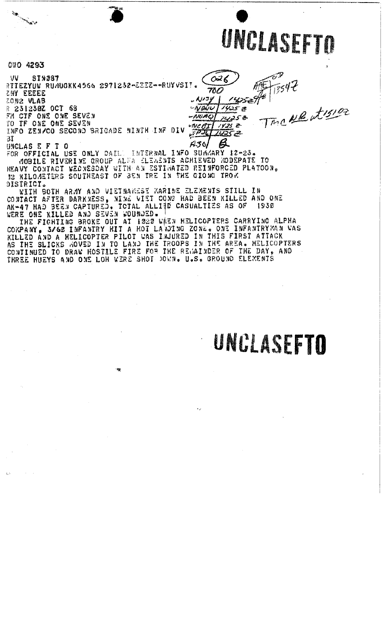

م<br>محله توميد

7547

Tmc Newtre

 $026$ 

1425 Z

1425 e

 $11252$ 

<u> 143</u>5 æ

 $\overline{\beta}$ 

 $760$ 

 $A/IJV$ 

-NOWU

 $-WiMO$ 

WC AI

 $e^{i\overrightarrow{PJL}}$ 

 $A30$ 

CTO 4293

**Provence** 

 $\gamma_{\rm 3}$ 

**VV SIN287** RITEZYUW RUMUGKK4566 2971232-2332--RUYVSIT. SWA EEEEE ZON2 VLAB

R 231230Z OCT 68 FM CTF ONE ONE SEVEN TO IF ONE ONE SEVEN INFO ZEN/CO SECOND BRIGADE NINTH INF DIV

31 UNCLAS E F T O

FOR OFFICIAL USE ONLY DAIL. INTERNAL INFO SUMMARY 12-23. MOBILE RIVERINE GROUP ALFA ELEASNIS ACHIEVED KODEPATE - 70 HEAVY CONTACT WEDNESDAY WITH AN ESTIMATED REINFORCED PLATOON. DISTRICT.

WITH BOTH ARMY AND VIETNAMEST KARINE ELEMENTS STILL IN CONTACT AFTER DARKNESS, NINE VIET CONG HAD BEEN KILLED AND ONE AK-47 HAD BEEN CAPTURED. TOTAL ALLIED CASUALTIES AS OF 1930

幠

WERE ONE KILLED AND SEVEN WOUNDED. IT WILLICOPTERS CARRYING ALPHA THE FIGHTING BROKE OUT AT 1020 WHEN HELICOPTERS CARRYING ALPHA KILLED AND A MELICOPTER PILOT WAS INJURED IN THIS FIRST ATTACK<br>AS THE SLICKS MOVED IN TO LAND THE TROOPS IN THE AREA. HELICOPTERS<br>CONTINUED TO DRAW HOSTILE FIRE FOR THE REMAINDER OF THE DAY, AND THREE HUEYS AND ONE LOH WERE SHOT DOWN. U.S. GROUND ELEMENTS

### UNCLASEFTO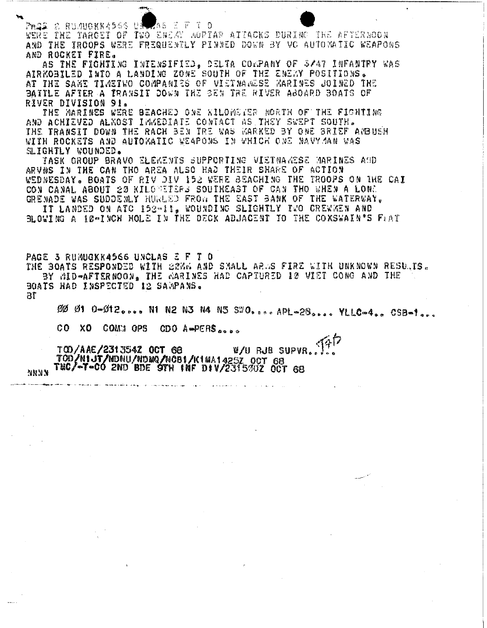AS E F T O Prog 2 Rumuokk4566 Ui WERE THE TARGET OF TWO ENERY MOPTAR ATTACKS DURING THE AFTERBOON AND THE IROOPS WERE FREQUENTLY PINNED DOWN BY VO AUTOMATIC WEAPONS AND ROCKET FIRE.

AS THE FIGHTING INTENSIFIED. DELTA COLPANY OF S/47 INFANTRY WAS AIRKOBILED INTO A LANDING ZONE SOUTH OF THE ENEMY POSITIONS. AT THE SAME TIMETWO COMPANIES OF VIETNAMESE MARINES JOINED THE BATTLE AFTER A TRANSIT DOWN THE BEN TRE RIVER ABOARD BOATS OF RIVER DIVISION 91.

THE MARINES WERE BEACHED ONE KILOMETER NORTH OF THE FIGHTING AND ACHIEVED ALKOST IMMEDIATE CONTACT AS THEY SWEPT SOUTH. THE TRANSIT DOWN THE RACH BEN TRE WAS KARKED BY ONE BRIEF AMBUSH WITH ROCKETS AND AUTOMATIC WEAPONS IN WHICH ONE NAVY-JAN WAS SLIGHTLY WOUNDED.

TASK GROUP BRAVO ELEKENTS SUPPORTING VIETNAKESE MARINES AUD ARVNS IN THE CAN THO AREA ALSO HAD THEIR SHARE OF ACTION WEDNESDAY. BOATS OF RIV DIV 152 WERE BEACHING THE TROOPS ON THE CAI CON CANAL ABOUT 20 KILONETERS SOUTHEAST OF CAN THO WHEN A LONE GRENADE WAS SUDDENLY HURLED FROM THE EAST BANK OF THE WATERWAY.

IT LANDED ON ATC 152-11. WOUNDING SLIGHTLY TWO CREWBEN AND BLOWING A 10-INCH HOLE IN THE DECK ADJACENT TO THE COXSWAIN'S FLAT

PAGE 3 RUMUGKK4566 UNCLAS E F T 0 THE BOATS RESPONDED WITH 22NG AND SMALL ARGS FIRE WITH UNKNOWN RESULTS. BY MID-AFTERNOON, THE GARINES HAD CAPTURED 10 VIET CONG AND THE BOATS HAD INSPECTED 12 SAMPANS. ЗĪ

00 01 0-012.... N1 N2 N3 N4 N5 SWO.....APL-28.... YLLC-4.. CSB-1...

CO XO COMM OPS CDO A-PERS...

W/U RJB SUPVR.. TOD/AAE/231354Z OCT 68 TOD/NIJI/NDNU/NDMQ/NCBI/K1MA1425Z OCT 68 TEC/~T-CO 2ND BDE OTH INF DIV/2315002 OCT 68

**NNNN**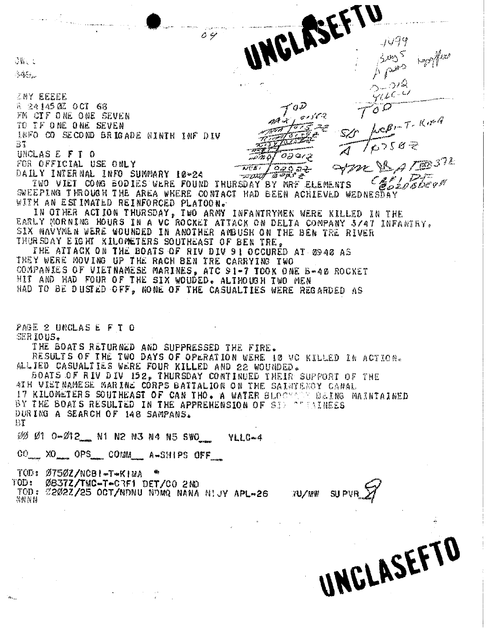$36.1$ 

多碳分泌

**ZNY EEEEE a 24145 0Z OCT 68** FM CIF ONE ONE SEVEN TO IF ONE ONE SEVEN INFO CO SECOND BRIGADE NINTH INF DIV BT UNCLASEFT O

FOR OFFICIAL USE ONLY DAILY INTERNAL INFO SUMMARY 10-24

TWO VIET CONG BODIES WERE FOUND THURSDAY BY MRF ELEMENTS COSING and about SWEEPING THROUGH THE AREA WHERE CONTACT HAD BEEN ACHIEVED WEDNESDAY WITH AN ESTIMATED REINFORCED PLATOON.

 $\overline{\mathcal{N}}$  $\overline{\mathcal{E}}$  $\overline{\mathcal{E}}$  $\overline{\mathcal{E}}$ 

 $O \ncong$ 

UNGLASEFTU

 $0147$ 

 $T^{\prime}$ 

 $\sigma$ ar q

<u> 920 a.J</u>

1499

 $\rho \rho$ 

 $5 - 0/2$  $9160$ 

 $760587$ 

STAR VE A TERSTE

LOBINT-KING

IN OTHER ACTION THURSDAY, TWO ARMY INFANTRYMEN WERE KILLED IN THE EARLY MORNING HOURS IN A VC ROCKET ATTACK ON DELTA COMPANY 3/47 INFANTRY. SIX NAVYMEN WERE WOUNDED IN ANOTHER ANDUSH ON THE BEN TRE RIVER THURSDAY E IGHT KILOMETERS SOUTHEAST OF BEN TRE.

THE ATTACK ON THE BOATS OF RIV DIV 91 OCCURED AT 0940 AS THEY WERE MOVING UP THE RACH BEN TRE CARRYING TWO COMPANIES OF VIETNAMESE MARINES, ATC 91-7 TOOK ONE B-40 ROCKET HIT AND HAD FOUR OF THE SIX WOUDED. ALTHOUGH TWO MEN HAD TO BE DUSTED OFF, NONE OF THE CASUALTIES WERE REGARDED AS

PAGE 2 UNCLAS E F T O SERIOUS.

THE BOATS RETURNED AND SUPPRESSED THE FIRE. RESULTS OF THE TWO DAYS OF OPERATION WERE 10 VC KILLED IN ACTION.

ALLIED CASUALTIES WERE FOUR KILLED AND 22 WOUNDED. SOATS OF RIV DIV 152, THURSDAY CONTINUED THEIR SUPPORT OF THE 4TH VIETNAMESE MARINE CORPS BATTALION ON THE SAINTENOY CANAL 17 KILOMETERS SOUTHEAST OF CAN THO. A WATER BLOCKARD BEING MAINTAINED BY THE BOATS RESULTED IN THE APPREHENSION OF SIX SUBSTARES DURING A SEARCH OF 148 SAMPANS.  $B$ T

00 01 0-012 N1 N2 N3 N4 N5 SWO YLLC-4

CO XO OPS COMM A-SHIPS OFF

TOD: 0750Z/NCBI-T-KIMA

TOD: Ø837Z/TMC-T-CRF1 DET/CO 2ND

TOD: 22022/25 OCT/NDNU NDMQ NANA NIJY APL-26 anno

UNCLASEFTO

30/08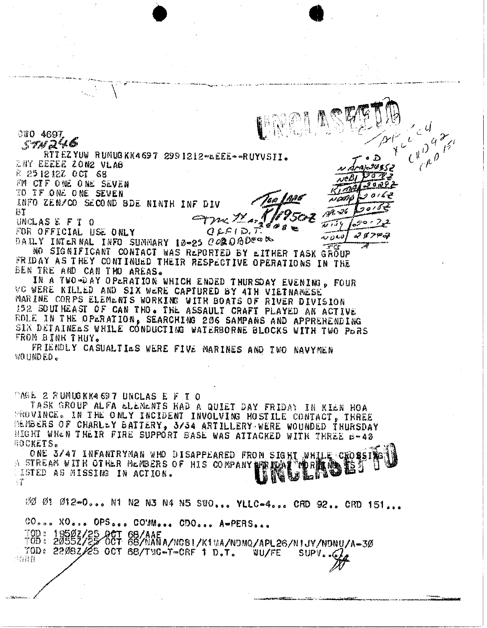880 4697  $c \sqrt{\frac{\rho}{c} \rho}$  $574246$ RTTEZYUW RUMUGKK4697 2991212-LEEE--RUYVSII. 2NY EEEEE ZON2 VLAB R 2512127 0CT 68 FM CTF ONE ONE SEVEN TO TF ONE ONE SEVEN INFO ZEN/CO SECOND BDE NINTH INF DIV  $\mathcal{M} \rightarrow 6$ НT Am Marylor UNCLAS E F T O  $OLE(D, T)$ FOR OFFICIAL USE ONLY  $28700$ . ئەيەن ب DAILY INTERNAL INFO SUMMARY 10-25 COROBDER -57 NO SIGNIFICANT CONTACT WAS REPORTED BY EITHER TASK GROUP FRIDAY AS THEY CONTINUED THEIR RESPECTIVE OPERATIONS IN THE BEN TRE AND CAN THO AREAS. IN A TWO-DAY OPERATION WHICH ENDED THURSDAY EVENING, FOUR VC WERE KILLED AND SIX WERE CAPTURED BY 4TH VIETNAMESE MARINE CORPS ELEMENTS WORKING WITH BOATS OF RIVER DIVISION 152 SOUTHEAST OF CAN THO. THE ASSAULT CRAFT PLAYED AN ACTIVE ROLE IN THE OPERATION, SEARCHING 206 SAMPANS AND APPREHENDING SIX DETAINELS WHILE CONDUCTING WATERBORNE BLOCKS WITH TWO PORS FROM BINH THUY. FRIENDLY CASUALTIES WERE FIVE MARINES AND TWO NAVYMEN **WOUNDED.** PAGE 2 RUMUGKK4697 UNCLAS E F T O TASK GROUP ALFA ELEMENTS HAD A QUIET DAY FRIDAY IN KIEN HOA PROVINCE. IN THE ONLY INCIDENT INVOLVING HOSTILE CONTACT, THREE MEMBERS OF CHARLEY BATTERY, 3/34 ARTILLERY WERE WOUNDED THURSDAY MIGHT WHEN THEIR FIRE SUPPORT BASE WAS ATTACKED WITH THREE B-42 **HOCKETS.** ONE 3/47 INFANTRYMAN WHO DISAPPEARED FROM SIGHT WHILE CHOSSI STREAM WITH OTHER MEMBERS OF HIS COMPANY PERIODICAL THOUGHT 鹤 Í - 7

00 01 012-0... N1 N2 N3 N4 N5 SWO... YLLC-4... CRD 92.. CRD 151...

CO... XO... OPS... CO'Mo... CDO... A-PERS...

10B: 18592/35-867 68/AAE<br>10B: 18592/35-867 68/NANA/NOBI/K1MA/NDMQ/APL26/NIJY/NDNU/A-30 70D: 2208Z/25 OCT 68/TWC-T-CRF 1 D.T. WU/FE SUPV.. 开竹铺替。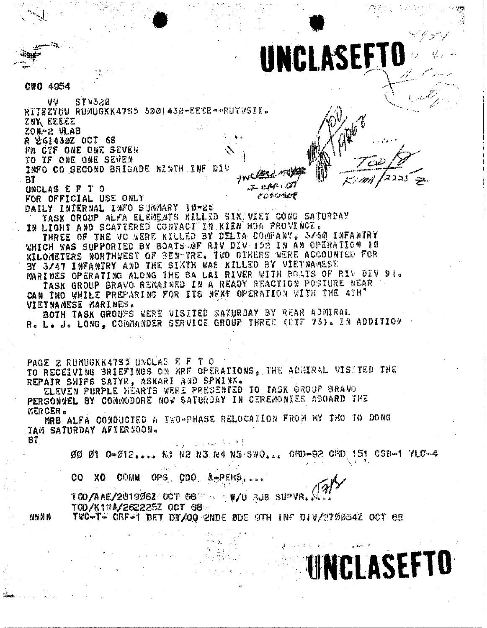UNCLASEFT C#0 4954 บบ STN 320 RTTEZYUW RUMUGKKA785 3001430-EEEE--RUYVSII. zny Eeeee 208-2 VLAB R 261430Z OCT 68 FM CTF ONE ONE SEVEN TO TF ONE ONE SEVEN INFO CO SECOND BRIGADE NINTH INF DIV ーッパム BT .ප. සණ *ස*ර UNCLAS E F T O *cosonial* FOR OFFICIAL USE ONLY DAILY INTERNAL INFO SUMMARY 10-26 TASK GROUP ALFA ELEMENTS KILLED SIKAVIET CONG SATURDAY IN LIGHT AND SCATTERED CONTACT IN KIEM HOA PROVINCE. THREE OF THE VC WERE KILLED BY DELTA COMPANY, 3/60 INFANTRY WHICH WAS SUPPORTED BY BOATS OF RIV DIV 152 IN AN OPERATION 10 KILOMETERS NORTHWEST OF BEN-TRE. TWO OTHERS WERE ACCOUNTED FOR BY 3/47 INFANTRY AND THE SIXTH WAS KILLED BY VIETNAMESE MARINES OPERATING ALONG THE BA LAIRIVER WITH BOATS OF RIV DIV 91. TASK GROUP BRAVO REMAINED IN A READY REACTION POSTURE NEAR CAN THO WHILE PREPARING FOR ITS NEXT OPERATION WITH THE 4TH' VIETNAMESE MARINES. BOTH TASK GROUPS WERE VISITED SATIFIDAY BY REAR ADDIRAL R. L. J. LONG, COMMANDER SERVICE GROUP THREE (CTF 73). IN ADDITION PAGE 2 RUMUGKK4785 UNCLAS E F T O TO RECEIVING BRIEFINGS ON MRF OPERATIONS, THE ADMIRAL VISSTED THE REPAIR SHIPS SATYR, ASKARI AND SPNINX. ELEVEN PURPLE HEARTS WERE PRESENTED TO TASK GROUP BRAVO PERSONNEL BY COMMODORE NOW SATURDAY IN CEREMONIES ABOARD THE MERCER. MRB ALFA CONDUCTED A TWO-PHASE RELOCATION FROM MY THO TO DONG **TAM SATURDAY AFTERNOON.** BT ØØ Ø1 0-012.... N1 N2 N3 N4 N5 SWO... CRD-92 CRD 151 CSB-1 YLC-4  $\mathcal{A}_1 \subset \mathcal{A}_2$ CO. XO COMM OPS CDO A-PERS. TOD/AAE/261906Z OCT 68' Йģ W/U RJB SUPVR TOD/K1MA/262225Z OCT 68 TMC-T- CRE-1 DET DT/00 2NDE BDE 9TH INF DIV/270054Z OCT 68 n n m **UNCLASEFTO**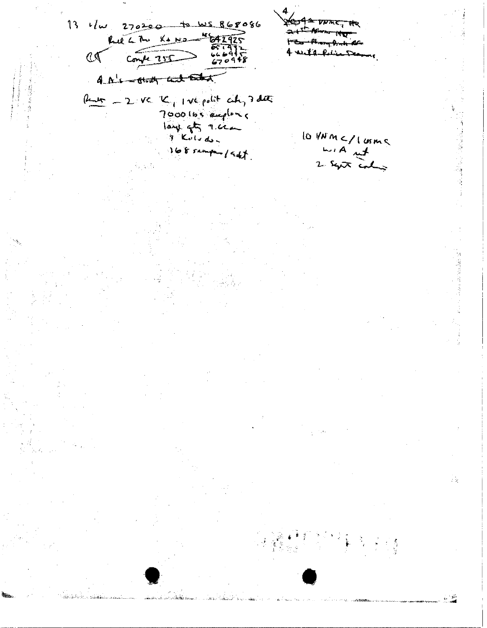13  $1/\omega$  270200 to ws 868086  $\frac{270300}{k+1}$  $25$   $Covk$   $255$ مستقاميس محد 4 A's - think with Ender  $\theta$  and  $-2$  vc K, I ve polit at 3 days 7000 lbs employed lo VNM </ lorms  $\frac{L}{2}$   $\frac{L}{2}$   $\frac{L}{2}$ 168 sampa / add Š,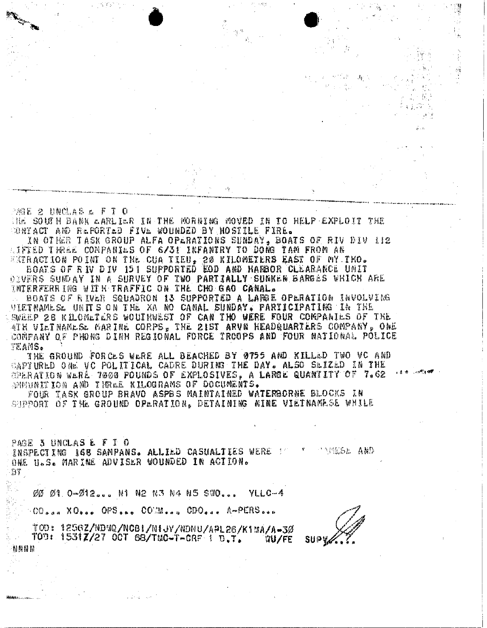PAGE 2 UNCLAS & F T O THE SOUTH DANK LARLIER IN THE MORNING MOVED IN TO HELP EXPLOIT THE OONTACT AND REPORTED FIVE WOUNDED BY HOSTILE FIRE.

IN OTEER TASK GROUP ALFA OPLRATIONS SUNDAY, BOATS OF RIV DIV HI2 LIFTED TIREE COMPANIES OF 6/31 INFANTRY TO DONG TAM FROM AN

EXTRACTION POINT ON THE CUA TIEU, 20 KILOMETERS EAST OF MY THO.<br>BOATS OF RIV DIV 151 SUPPORTED EOD AND HARBOR CLEARANCE UNIT DEVERS SUNDAY IN A SURVEY OF TWO PARTIALLY SUNKEN SARGES WHICH ARE INTERFERRING WITH TRAFFIC ON THE CHO GAO CANAL.

BOATS OF RIVER SQUADRON 13 SUPPORTED A LARGE OPERATION INVOLVING VIETNAMESE UNITS ON THE XA NO CANAL SUNDAY, PARTICIPATING IN THE SWEEP 28 KILOMETERS WOUTHWEST OF CAN THO WERE FOUR COMPANIES OF THE ATH VILTNAMLSL MARINE CORPS, THE 21ST ARVN HEADQUARTERS COMPANY, ONE COMPANY OF PHONG DINH REGIONAL FORCE TROOPS AND FOUR NATIONAL POLICE TEAMS.

THE GROUND FORCES WERE ALL BEACHED BY 0755 AND KILLED TWO VC AND CAPTURED ONE VC POLITICAL CADRE DURING THE DAY. ALSO SEIZED IN THE OPERATION WERE 7000 POUNDS OF EXPLOSIVES. A LARGE QUANTITY OF 7.62 AMMUNITION AND THREE KILOGRAMS OF DOCUMENTS.

FOUR TASK GROUP BRAVO ASPBS MAINTAINED WATERBORNE BLOCKS IN SHEPORY OF THE GROUND OPERATION. DETAINING NINE VIETNAMESE WHILE

PAGE 3 UNCLAS E F T O INSPECTING IGB SAMPANS. ALLIED CASUALTIES WERE TH ANSSE AND ONE U.S. MARINE ADVISER WOUNDED IN ACTION.

 $\{ \cdot \}$ 

00 01 0-012... NI N2 N3 N4 N5 SWO... YULG-4

00... XO... OPS... COM... CDO... A-PERS...

TOO: 1256Z/NDWQ/NCBI/NIJY/NDNU/APL26/K1MA/A-3Ø TOD: 1531Z/27 OCT 68/TMC-T-CRF 1 D.T. WU/FE NNNN

**SUPV**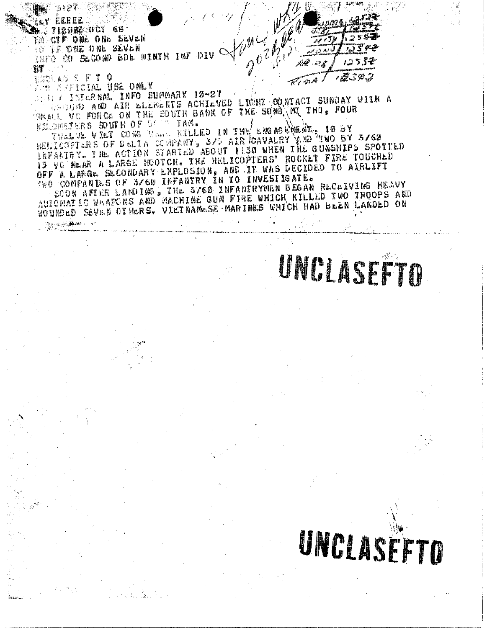

INTERNAL INFO SUMMARY 10-27 GUND AND AIR ELEMENTS ACHIEVED LIGHT ODNIACT SUNDAY WITH A VC FORCE ON THE SOUTH BANK OF THE SONG MI THO, FOUR KILDMETERS SOUTH OF DEST TAM.

TWOLVE VIET CONG WORK KILLED IN THE ENGINE ACTIVE OF SY BELICUPTERS OF DELIA COMPANY, 3/5 AIR GAVALRY AND TWO BY 3/62 INFANIRY. THE ACTION STARTED ABOUT TISS WHEN THE GUNSHIPS SPOTTED 15 VC NEAR A LARGE MOOTCH. THE HELICOPTERS' ROCKET FIRE TOUCHED OFF A LARGE SECONDARY EXPLOSION, AND IT WAS DECIDED TO AIRLIFT TWO COMPANIES OF 3/60 INFANTRY IN TO INVESTIGATE.

SOON AFTER LANDING, THE S/60 INFANTRYMEN BEGAN RECEIVING HEAVY AUIONATIC WEAPONS AND MACHINE GUN FINE WHICH KILLED TWO TROOPS AND WOUNDED SEVEN OTHERS. VIETNAMESE MARINES WHICH HAD BEEN LANDED ON

UNCLASE TO

### UNCLASEFTO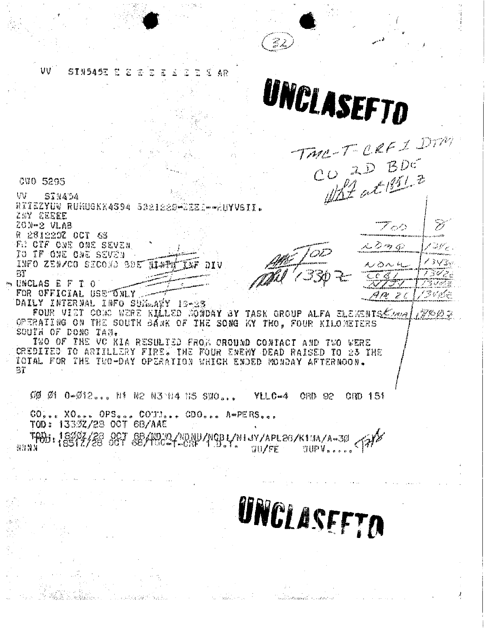د من<br>سال ۱۹۶۸ w STN545E E E 2 T 48 UNCLASEFTD TAR-T-CREI DITH  $\frac{1}{\sqrt{2}}\frac{1}{\sqrt{2}}$ **CUO 5295** VT **STN454** RITEZYUV RUNUGKK4S94 5321220-0222.--AUYVSII. ZAY EEEEE ジ 20N-2 VLAB دميره ستصفه R 231220Z OCT 63 F. OTF ONE ONE SEVEN しょっぱ سيس أكو قلقة الحميم TO IF ONE ONE SEVEN くうしぶ INFO ZEN/CO SECOND SDE NIAPH んめんに עומ anancescences<br>.. C\* l.C\* /  $77$ فرسمایی مم m UNCLAS E F T O 医甲酰胺 FOR OFFICIAL USE UNLY くらびょくさ ہ جے مجھڑات DAILY INTERNAL INFO SUM.AWY 12-23 FOUR VIET COME WERE KLLED MOWDAY BY TASK GROUP ALFA ELEMENTS Come  $F \otimes \varnothing$ OPERATING ON THE SOUTH BANK OF THE SONG KY THO, FOUR KILOMETERS SOUTH OF DONG TAM. TWO OF THE VC KIA RESULTED FROM CROUND CONTACT AND TWO WERE CREDITED TO ARTILLERY FIRE. THE FOUR ENEMY DEAD RAISED TO 23 THE TOTAL FOR THE TUO-DAY OPERATION WHICH ENDED MONDAY AFTERNOON. Зĩ  $000010 - 012$ ... Ni N2 N3 14 N5 SWO...  $V11C-4$ CRD 02 CMD 151 CO... XO... OPS... COUN... CDO... A-PERS... TOD: 13392/28 OCT 68/AAE OCT 68/NOCC/NDNU/NCBL/NLJY/APL26/K1UA/A-30 TABB: 18893/38 發芽特別 WUPV.....  $307$  $F$  $F$ UNCLASEFTO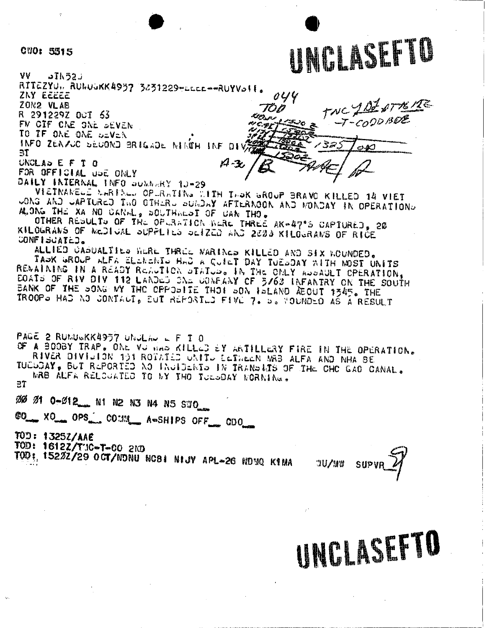#### CUO: 5515

VV  $Jh52J$ RITEZYU,, RUNUGKK4957 3831229-LEEL--RUYVoff. ZNY EEEEE ZON2 VLAR R 291229Z OCT 53 FM OIF ONE ONE SEVEN TO IF ONE ONE DEVEN. INFO ZENZUC SEUOND BRIGADE NINTH INF DIV  $\mathbf{H}$  $A - 3$ UNCLAD E F T O

FOR OFFICIAL UPE ONLY

DAILY INTERNAL INFO SOMMERY 10-29

VIETNAMELE MARTALL OPLRATING TITH TAOK GROUP BRAVO KILLED 14 VIET CONG AND CAPTURED TWO OTHERS SUNDAY AFTERNOON AND MONDAY IN OPERATIONS ALONG THE XA NO CANAL, SOUTHALST OF UAN THO.

OTHER RESULTS OF THE OPLANTICH WERE THREE AK-47°S CAPTURED, 20 KILOGRANS OF MCDIUAL SUPPLIES SCIZED AND 2003 KILOGRANS OF RICE CONFISCATED.

ALLIED CABUALTIES HERE THREE WARINES KILLED AND SIX WOUNDED. TAOK GROUP ALFA ELEAENIO HAD A QUIET DAY TUESDAY WITH MOST UNITS RENAINING IN A READY REALTION STATUS. IN THE ONLY ASSAULT CPERATION. EQATS OF RIV DIV 112 LANDLE SAL CONFLAY CF 5/63 INFANTRY ON THE SOUTH BANK OF THE SOUTH TROOPS HAD AD CONTACT, BUT REPORTLD FIVE 7. B. FOUNDED AS A RESULT

PAGE 2 RUMUGKK4957 UNJLAU L F I 0

OF A BOOBY TRAP. ONE VU WAS KILLED EY ARTILLERY FIRE IN THE OPERATION.

TUCSDAY, BUT REPORTED NO INSIDENTS IN TRANSLIS OF THE CHC GAO CANAL. MRB ALFA RELOUATED TO MY THO TUESDAY MORNING.  $\Xi$ T

88 81 0-812 N1 N2 N3 N4 N5 SWO

CO\_ XO\_ OPS\_ COMM\_ A-SHIPS OFF\_ CDO\_

TOD: 1325Z/AAE

TOD: 1612Z/TUC-T-CO 2ND

TOD: 15222/29 OCT/NDNU NCBI NIJV APL-26 NDVQ KINA

 $U/M$ 

UNCLASEFTO

TWC JOZ ATTEME

 $-7 - 0000000$ 

යන

1325

 $0.44$ 

70 D

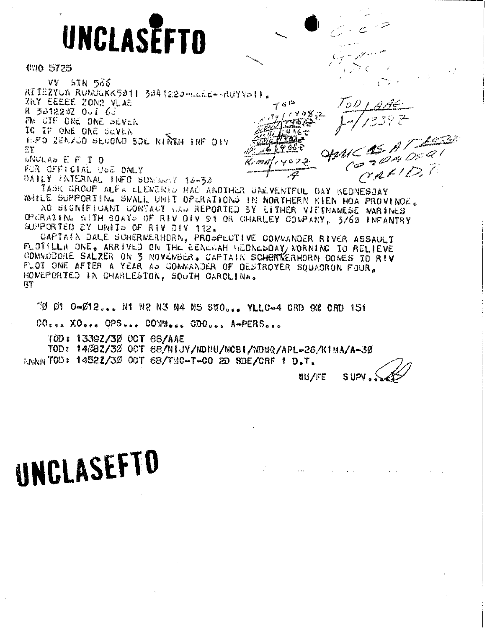# UNCLASEFTO

**C30 5725** 

**VV 5TN 566** RTTEZYUN RUMUGKK5011 3041220-LLEE--RUYVOII. ZNY EEEEE ZON2 VLAB R 301220Z OUT 6J FM CIF ONE ONE DEVEN IC IF ONE ONE SEVEN INFO ZENZOO SECOND SOE NINKH INF DIV 发誓 UNULAD E F I O  $K_{\rm F}$  1938)  $\ell$ FOR OFFICIAL USE ONLY

DAILY INTERNAL INFO SUMMARY 18-30

TASK GROUP ALF'N LLENENTD HAD ANOTHER UNEVENTFUL DAY KEDNESDAY WHILE SUPPORTING SWALL UNIT OPERATIONS IN NORTHERN KIEN HOA PROVINCE. AO SIGNIFICANT CONTACT WAS REPORTED BY EITHER VIETNAMESE WARINES

 $\tau$  s  $\approx$ 

 $7.4072$ 

CPERATING WITH BOATS OF RIV OIV 91 OR CHARLEY COMPANY, 3/63 INFANTRY SUPPORTED BY UNITS OF RIV JIV 112.

CAPTAIN DALE SCHERWERHORN. PROSPECTIVE COWMANDER RIVER ASSAULT FLOTSLLA ONE, ARRIVED ON THE EENERAH MEDNESDAY/ NORNING TO RELIEVE COMMODORE SALZER ON 3 NOVEWBER. CAPTAIN SCHERWERHORN COMES TO RIV FLOT ONE AFTER A YEAR AP GOMMANDER OF DESTROYER SQUADRON FOUR. HOMEPORTED IN CHARLESTON, SOUTH CAROLINA. មិនិ

70 01 0-012... N1 N2 N3 N4 N5 SWO... YLLC-4 ORD 92 CRD 151

CO... XO... OPS... COMM... CDO... A-PERS...

TOD: 13392/30 OCT 68/AAE

TOD: 14%87/3% OCT 68/NIJY/NDNU/NCBI/NDNQ/APL-26/K1MA/A-30

AMAN TOD: 14521/30 OCT 6B/TMC-T-CO 2D SDE/CRF 1 D.T.

WU/FE SUPV

ע ס

MC AS A TEEL

CALID

## UNCLASEFTO